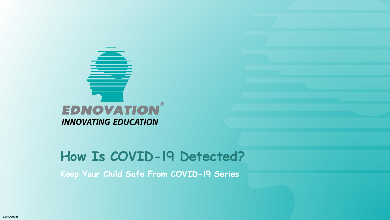

**Keep Your Child Safe From COVID-19 Series**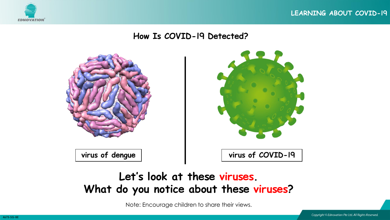



## **Let's look at these viruses. What do you notice about these viruses?**

Note: Encourage children to share their views.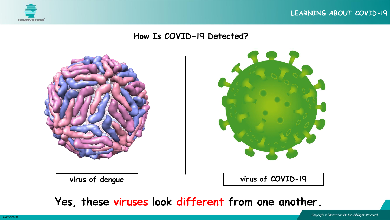





**virus of dengue virus of COVID-19**

**Yes, these viruses look different from one another.**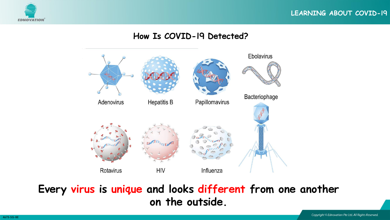



## **Every virus is unique and looks different from one another on the outside.**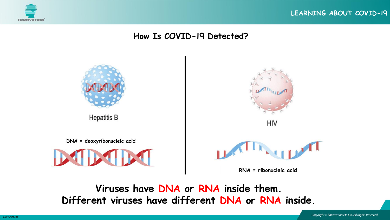



**Viruses have DNA or RNA inside them. Different viruses have different DNA or RNA inside.**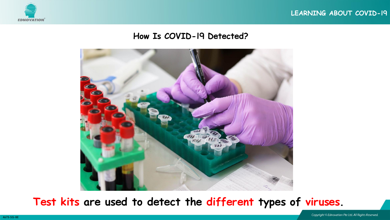



**Test kits are used to detect the different types of viruses.**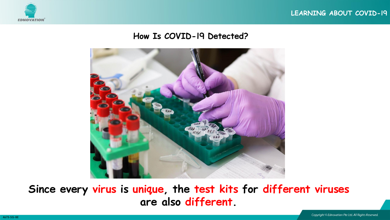



**Since every virus is unique, the test kits for different viruses are also different.**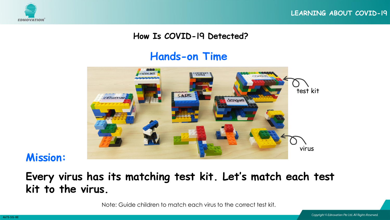

### **Hands-on Time**



### **Mission:**

## **Every virus has its matching test kit. Let's match each test kit to the virus.**

Note: Guide children to match each virus to the correct test kit.